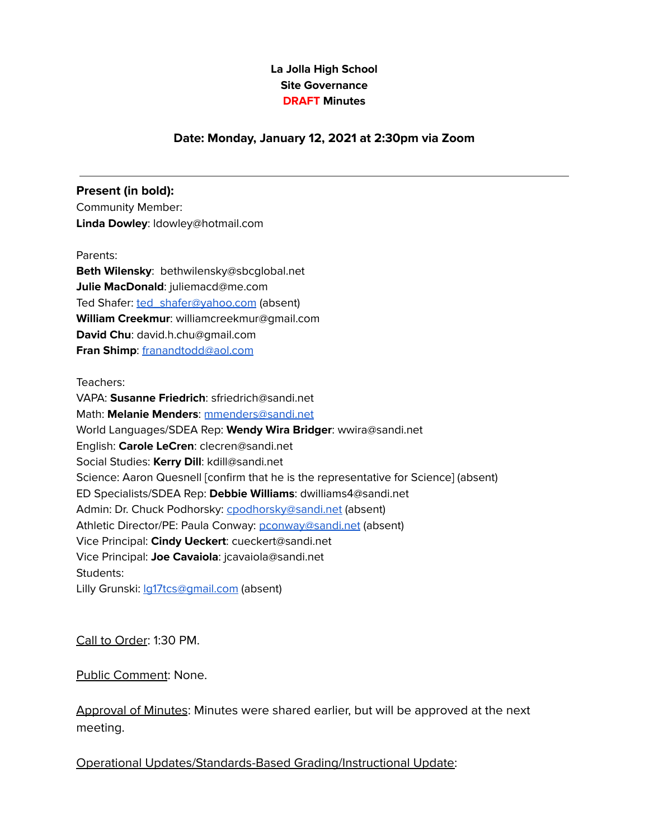## **La Jolla High School Site Governance DRAFT Minutes**

#### **Date: Monday, January 12, 2021 at 2:30pm via Zoom**

#### **Present (in bold):**

Community Member: **Linda Dowley**: ldowley@hotmail.com

Parents:

**Beth Wilensky**: bethwilensky@sbcglobal.net **Julie MacDonald**: juliemacd@me.com Ted Shafer: [ted\\_shafer@yahoo.com](mailto:ted_shafer@yahoo.com) (absent) **William Creekmur**: williamcreekmur@gmail.com **David Chu**: [david.h.chu@gmail.com](mailto:david.h.chu@gmail.com) **Fran Shimp**: [franandtodd@aol.com](mailto:franandtodd@aol.com)

Teachers:

VAPA: **Susanne Friedrich**: sfriedrich@sandi.net Math: **Melanie Menders**: [mmenders@sandi.net](mailto:mmenders@sandi.net) World Languages/SDEA Rep: **Wendy Wira Bridger**: wwira@sandi.net English: **Carole LeCren**: clecren@sandi.net Social Studies: **Kerry Dill**: kdill@sandi.net Science: Aaron Quesnell [confirm that he is the representative for Science] (absent) ED Specialists/SDEA Rep: **Debbie Williams**: dwilliams4@sandi.net Admin: Dr. Chuck Podhorsky: [cpodhorsky@sandi.net](mailto:cpodhorsky@sandi.net) (absent) Athletic Director/PE: Paula Conway: [pconway@sandi.net](mailto:pconway@sandi.net) (absent) Vice Principal: **Cindy Ueckert**: cueckert@sandi.net Vice Principal: **Joe Cavaiola**: jcavaiola@sandi.net Students: Lilly Grunski: la17tcs@gmail.com (absent)

Call to Order: 1:30 PM.

Public Comment: None.

Approval of Minutes: Minutes were shared earlier, but will be approved at the next meeting.

Operational Updates/Standards-Based Grading/Instructional Update: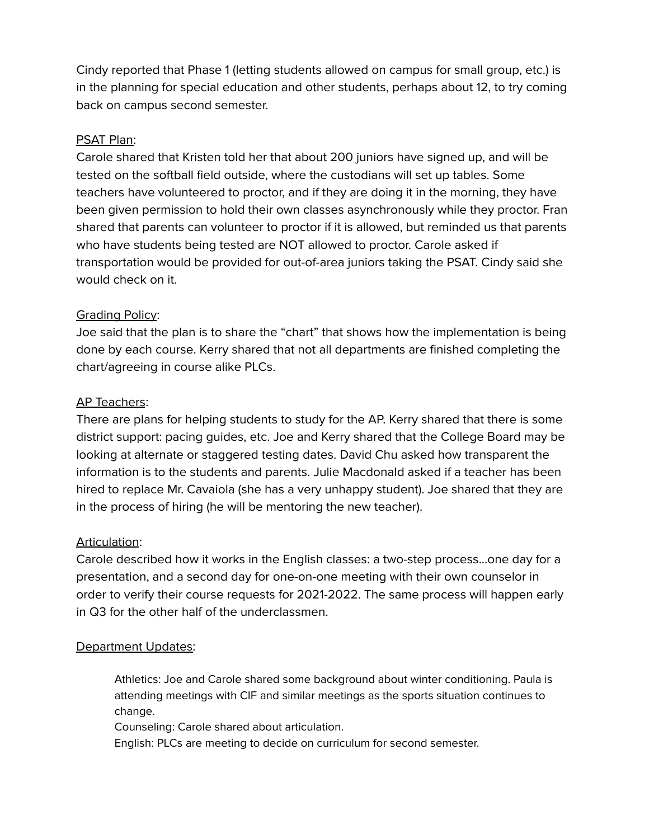Cindy reported that Phase 1 (letting students allowed on campus for small group, etc.) is in the planning for special education and other students, perhaps about 12, to try coming back on campus second semester.

## PSAT Plan:

Carole shared that Kristen told her that about 200 juniors have signed up, and will be tested on the softball field outside, where the custodians will set up tables. Some teachers have volunteered to proctor, and if they are doing it in the morning, they have been given permission to hold their own classes asynchronously while they proctor. Fran shared that parents can volunteer to proctor if it is allowed, but reminded us that parents who have students being tested are NOT allowed to proctor. Carole asked if transportation would be provided for out-of-area juniors taking the PSAT. Cindy said she would check on it.

# Grading Policy:

Joe said that the plan is to share the "chart" that shows how the implementation is being done by each course. Kerry shared that not all departments are finished completing the chart/agreeing in course alike PLCs.

## AP Teachers:

There are plans for helping students to study for the AP. Kerry shared that there is some district support: pacing guides, etc. Joe and Kerry shared that the College Board may be looking at alternate or staggered testing dates. David Chu asked how transparent the information is to the students and parents. Julie Macdonald asked if a teacher has been hired to replace Mr. Cavaiola (she has a very unhappy student). Joe shared that they are in the process of hiring (he will be mentoring the new teacher).

## Articulation:

Carole described how it works in the English classes: a two-step process...one day for a presentation, and a second day for one-on-one meeting with their own counselor in order to verify their course requests for 2021-2022. The same process will happen early in Q3 for the other half of the underclassmen.

## Department Updates:

Athletics: Joe and Carole shared some background about winter conditioning. Paula is attending meetings with CIF and similar meetings as the sports situation continues to change.

Counseling: Carole shared about articulation.

English: PLCs are meeting to decide on curriculum for second semester.